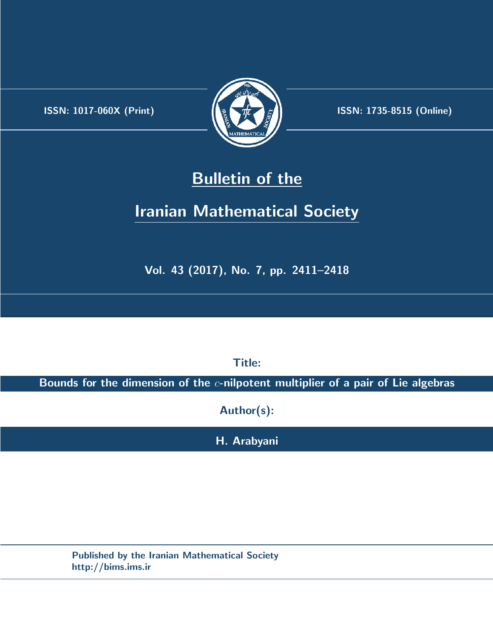.



**ISSN:** 1017-060X (Print)  $\left| \left( \frac{1}{2} \sum \frac{1}{k} \right) \right|$  **ISSN:** 1735-8515 (Online)

# **Bulletin of the**

# **Iranian Mathematical Society**

**Vol. 43 (2017), No. 7, pp. 2411–2418**

**Title:**

**Bounds for the dimension of the** *c***-nilpotent multiplier of a pair of Lie algebras**

**Author(s):**

**H. Arabyani**

**Published by the Iranian Mathematical Society http://bims.ims.ir**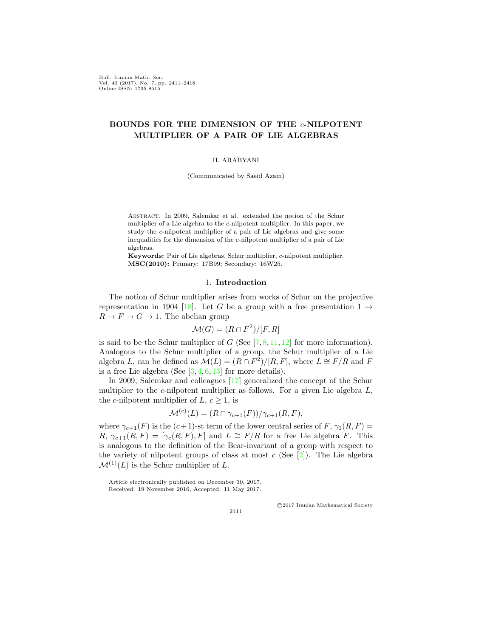Bull. Iranian Math. Soc. Vol. 43 (2017), No. 7, pp. 2411–2418 Online ISSN: 1735-8515

## **BOUNDS FOR THE DIMENSION OF THE** *c***-NILPOTENT MULTIPLIER OF A PAIR OF LIE ALGEBRAS**

#### H. ARABYANI

(Communicated by Saeid Azam)

ABSTRACT. In 2009, Salemkar et al. extended the notion of the Schur multiplier of a Lie algebra to the *c*-nilpotent multiplier. In this paper, we study the *c*-nilpotent multiplier of a pair of Lie algebras and give some inequalities for the dimension of the *c*-nilpotent multiplier of a pair of Lie algebras.

**Keywords:** Pair of Lie algebras, Schur multiplier, *c*-nilpotent multiplier. **MSC(2010):** Primary: 17B99; Secondary: 16W25.

### 1. **Introduction**

The notion of Schur multiplier arises from works of Schur on the projective representation in 1904 [\[18](#page-8-0)]. Let *G* be a group with a free presentation  $1 \rightarrow$  $R \to F \to G \to 1$ . The abelian group

$$
\mathcal{M}(G) = (R \cap F^2) / [F, R]
$$

is said to be the Schur multiplier of  $G$  (See  $[7, 8, 11, 12]$  $[7, 8, 11, 12]$  $[7, 8, 11, 12]$  $[7, 8, 11, 12]$  $[7, 8, 11, 12]$  $[7, 8, 11, 12]$  $[7, 8, 11, 12]$  $[7, 8, 11, 12]$  for more information). Analogous to the Schur multiplier of a group, the Schur multiplier of a Lie algebra *L*, can be defined as  $\mathcal{M}(L) = (R \cap F^2)/[R, F]$ , where  $L \cong F/R$  and *F* is a free Lie algebra (See  $[3, 4, 6, 13]$  $[3, 4, 6, 13]$  $[3, 4, 6, 13]$  $[3, 4, 6, 13]$  $[3, 4, 6, 13]$  $[3, 4, 6, 13]$  $[3, 4, 6, 13]$  for more details).

In 2009, Salemkar and colleagues [[17\]](#page-8-5) generalized the concept of the Schur multiplier to the *c*-nilpotent multiplier as follows. For a given Lie algebra *L*, the *c*-nilpotent multiplier of  $L, c \geq 1$ , is

$$
\mathcal{M}^{(c)}(L) = (R \cap \gamma_{c+1}(F))/\gamma_{c+1}(R, F),
$$

where  $\gamma_{c+1}(F)$  is the  $(c+1)$ -st term of the lower central series of  $F$ ,  $\gamma_1(R, F)$  = *R*,  $\gamma_{c+1}(R, F) = [\gamma_c(R, F), F]$  and  $L \cong F/R$  for a free Lie algebra *F*. This is analogous to the definition of the Bear-invariant of a group with respect to the variety of nilpotent groups of class at most  $c$  (See  $[2]$  $[2]$  $[2]$ ). The Lie algebra  $\mathcal{M}^{(1)}(L)$  is the Schur multiplier of *L*.

2411

*⃝*c 2017 Iranian Mathematical Society

Article electronically published on December 30, 2017.

Received: 19 November 2016, Accepted: 11 May 2017.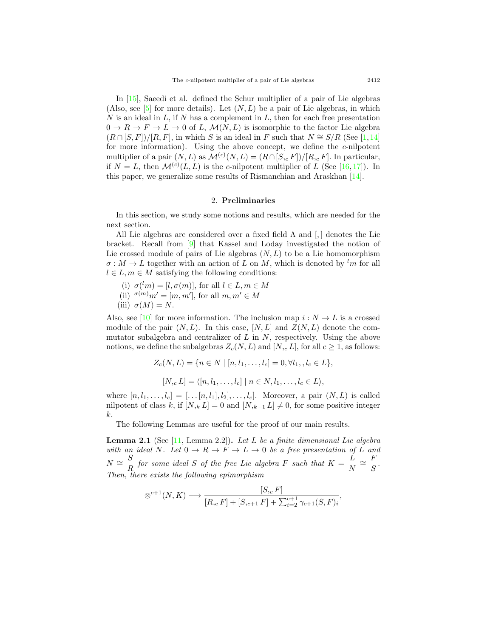In [[15\]](#page-8-6), Saeedi et al. defined the Schur multiplier of a pair of Lie algebras (Also, see  $[5]$  $[5]$  for more details). Let  $(N, L)$  be a pair of Lie algebras, in which *N* is an ideal in *L*, if *N* has a complement in *L*, then for each free presentation  $0 \to R \to F \to L \to 0$  of *L*,  $\mathcal{M}(N, L)$  is isomorphic to the factor Lie algebra  $(R \cap [S, F])/[R, F]$ , in which *S* is an ideal in *F* such that  $N \cong S/R$  (See [[1,](#page-7-6)[14](#page-8-7)] for more information). Using the above concept, we define the *c*-nilpotent multiplier of a pair  $(N, L)$  as  $\mathcal{M}^{(c)}(N, L) = (R \cap [S, _c F])/[R, _c F]$ . In particular, if  $N = L$ , then  $\mathcal{M}^{(c)}(L, L)$  is the *c*-nilpotent multiplier of *L* (See [\[16](#page-8-8), [17](#page-8-5)]). In this paper, we generalize some results of Rismanchian and Araskhan [[14](#page-8-7)].

### 2. **Preliminaries**

In this section, we study some notions and results, which are needed for the next section.

All Lie algebras are considered over a fixed field  $\Lambda$  and  $\left[ , \right]$  denotes the Lie bracket. Recall from [\[9](#page-8-9)] that Kassel and Loday investigated the notion of Lie crossed module of pairs of Lie algebras (*N, L*) to be a Lie homomorphism  $\sigma : M \to L$  together with an action of *L* on *M*, which is denoted by <sup>l</sup>*m* for all  $l \in L, m \in M$  satisfying the following conditions:

(i)  $\sigma^{(l)}(m) = [l, \sigma(m)]$ , for all  $l \in L, m \in M$  $(iii)$ <sup> $\sigma(m)m' = [m, m'],$  for all  $m, m' \in M$ </sup> (iii)  $\sigma(M) = N$ .

Also, see [\[10](#page-8-10)] for more information. The inclusion map  $i: N \to L$  is a crossed module of the pair  $(N, L)$ . In this case,  $[N, L]$  and  $Z(N, L)$  denote the commutator subalgebra and centralizer of *L* in *N*, respectively. Using the above notions, we define the subalgebras  $Z_c(N, L)$  and  $[N, L]$ , for all  $c \geq 1$ , as follows:

$$
Z_c(N, L) = \{ n \in N \mid [n, l_1, \dots, l_c] = 0, \forall l_1, l_c \in L \},
$$
  

$$
[N, c] = \langle [n, l_1, \dots, l_c] \mid n \in N, l_1, \dots, l_c \in L \rangle,
$$

where  $[n, l_1, \ldots, l_c] = [\ldots [n, l_1], l_2], \ldots, l_c]$ . Moreover, a pair  $(N, L)$  is called nilpotent of class *k*, if  $[N, k] = 0$  and  $[N, k-1] \neq 0$ , for some positive integer *k*.

The following Lemmas are useful for the proof of our main results.

<span id="page-2-0"></span>**Lemma 2.1** (See [[11,](#page-8-2) Lemma 2.2])**.** *Let L be a finite dimensional Lie algebra with an ideal*  $N$ *. Let*  $0 \to R \to F \to L \to 0$  *be a free presentation of L and*  $N \cong \frac{S}{R}$  $\frac{S}{R}$  *for some ideal S of the free Lie algebra F such that*  $K = \frac{L}{N}$  $\frac{L}{N} \cong \frac{F}{S}$  $\frac{1}{S}$ . *Then, there exists the following epimorphism*

$$
\otimes^{c+1}(N,K) \longrightarrow \frac{[S_{c}F]}{[R_{c}F]+[S_{c+1}F]+ \sum_{i=2}^{c+1} \gamma_{c+1}(S,F)_{i}},
$$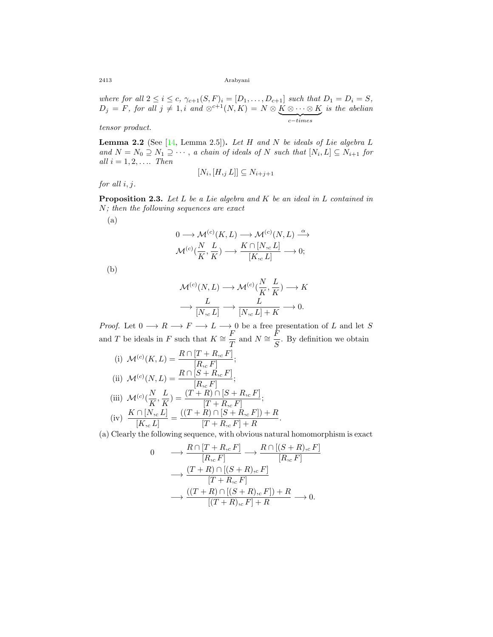2413 Arabyani

*where for all*  $2 \le i \le c$ ,  $\gamma_{c+1}(S, F)_i = [D_1, \ldots, D_{c+1}]$  *such that*  $D_1 = D_i = S$ ,  $D_j = F$ *, for all*  $j \neq 1$ *, i and*  $\otimes^{c+1}(N, K) = N \otimes \underbrace{K \otimes \cdots \otimes K}_{c-times}$ *is the abelian*

*tensor product.*

<span id="page-3-1"></span>**Lemma 2.2** (See [[14,](#page-8-7) Lemma 2.5])**.** *Let H and N be ideals of Lie algebra L*  $\{a_n d \mid N = N_0 \supseteq N_1 \supseteq \cdots$ , *a chain of ideals of*  $N$  *such that*  $[N_i, L] \subseteq N_{i+1}$  for  $all \, i = 1, 2, \ldots$  *Then* 

for all 
$$
i, j
$$
.

$$
[N_i, [H, j L]] \subseteq N_{i+j+1}
$$

<span id="page-3-0"></span>**Proposition 2.3.** *Let L be a Lie algebra and K be an ideal in L contained in N; then the following sequences are exact*

(a)

$$
\begin{aligned} 0 &\longrightarrow \mathcal{M}^{(c)}(K,L) \longrightarrow \mathcal{M}^{(c)}(N,L) \stackrel{\alpha}{\longrightarrow} \\ \mathcal{M}^{(c)}(\frac{N}{K},\frac{L}{K}) &\longrightarrow \frac{K\cap [N,_{c}L]}{[K,_{c}L]} \longrightarrow 0; \end{aligned}
$$

(b)

$$
\mathcal{M}^{(c)}(N,L) \longrightarrow \mathcal{M}^{(c)}(\frac{N}{K}, \frac{L}{K}) \longrightarrow K
$$

$$
\longrightarrow \frac{L}{[N, c L]} \longrightarrow \frac{L}{[N, c L] + K} \longrightarrow 0.
$$

*Proof.* Let  $0 \longrightarrow R \longrightarrow F \longrightarrow L \longrightarrow 0$  be a free presentation of *L* and let *S* and *T* be ideals in *F* such that  $K \cong \frac{F}{\pi}$  $\frac{F}{T}$  and  $N \cong \frac{F}{S}$  $\frac{1}{S}$ . By definition we obtain

(i) 
$$
\mathcal{M}^{(c)}(K, L) = \frac{R \cap [T + R, {}_{c}F]}{[R, {}_{c}F]}
$$
;  
\n(ii)  $\mathcal{M}^{(c)}(N, L) = \frac{R \cap [S + R, {}_{c}F]}{[R, {}_{c}F]}$ ;  
\n(iii)  $\mathcal{M}^{(c)}(\frac{N}{K}, \frac{L}{K}) = \frac{(T + R) \cap [S + R, {}_{c}F]}{[T + R, {}_{c}F]}$ ;

(iv) 
$$
\frac{K \cap [N_{c}, L]}{[K_{c}, L]} = \frac{((T + R) \cap [S + R_{c}, F]) + R}{[T + R_{c}, F] + R}.
$$

(a) Clearly the following sequence, with obvious natural homomorphism is exact

$$
0 \longrightarrow \frac{R \cap [T + R_{,c} F]}{[R_{,c} F]} \longrightarrow \frac{R \cap [(S + R)_{,c} F]}{[R_{,c} F]}
$$

$$
\longrightarrow \frac{(T + R) \cap [(S + R)_{,c} F]}{[T + R_{,c} F]}
$$

$$
\longrightarrow \frac{((T + R) \cap [(S + R)_{,c} F]) + R}{[(T + R)_{,c} F] + R} \longrightarrow 0.
$$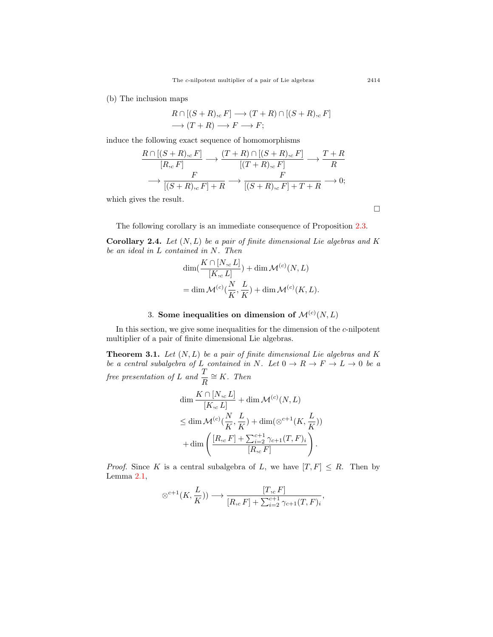(b) The inclusion maps

$$
R \cap [(S+R), {}_{c}F] \longrightarrow (T+R) \cap [(S+R), {}_{c}F]
$$

$$
\longrightarrow (T+R) \longrightarrow F \longrightarrow F;
$$

induce the following exact sequence of homomorphisms

$$
\frac{R \cap [(S+R),c] \cap [(S+R),c] \cap [(S+R),c] \cap [(S+R),c] \cap [(S+R),c] \cap [(S+R),c] \cap [(S+R),c] \cap [(S+R),c] \cap [(S+R),c] \cap [(S+R),c] \cap [(S+R),c] \cap [(S+R),c] \cap [(S+R),c] \cap [(S+R),c] \cap [(S+R),c] \cap [(S+R),c] \cap [(S+R),c] \cap [(S+R),c] \cap [(S+R),c] \cap [(S+R),c] \cap [(S+R),c] \cap [(S+R),c] \cap [(S+R),c] \cap [(S+R),c] \cap [(S+R),c] \cap [(S+R),c] \cap [(S+R),c] \cap [(S+R),c] \cap [(S+R),c] \cap [(S+R),c] \cap [(S+R),c] \cap [(S+R),c] \cap [(S+R),c] \cap [(S+R),c] \cap [(S+R),c] \cap [(S+R),c] \cap [(S+R),c] \cap [(S+R),c] \cap [(S+R),c] \cap [(S+R),c] \cap [(S+R),c] \cap [(S+R),c] \cap [(S+R),c] \cap [(S+R),c] \cap [(S+R),c] \cap [(S+R),c] \cap [(S+R),c] \cap [(S+R),c] \cap [(S+R),c] \cap [(S+R),c] \cap [(S+R),c] \cap [(S+R),c] \cap [(S+R),c] \cap [(S+R),c] \cap [(S+R),c] \cap [(S+R),c] \cap [(S+R),c] \cap [(S+R),c] \cap [(S+R),c] \cap [(S+R),c] \cap [(S+R),c] \cap [(S+R),c] \cap [(S+R),c] \cap [(S+R),c] \cap [(S+R),c] \cap [(S+R),c] \cap [(S+R),c] \cap [(S+R),c] \cap [(S+R),c] \cap [(S+R),c] \cap [(S+R),c] \cap [(S+R),c] \cap [(S+R),c] \cap [(S+R),c] \cap [(S+R),c] \cap [(S+R),c] \cap [(S+R),c] \cap [(S+R),c] \cap [(S+R),c] \cap [(S+R),c] \cap [(S+R),c] \cap [(S+R),c] \cap [(S+R),c] \cap [(S+R),c]
$$

which gives the result.

□

The following corollary is an immediate consequence of Proposition [2.3](#page-3-0).

<span id="page-4-0"></span>**Corollary 2.4.** *Let* (*N, L*) *be a pair of finite dimensional Lie algebras and K be an ideal in L contained in N. Then*

$$
\dim(\frac{K \cap [N, c L]}{[K, c L]}) + \dim \mathcal{M}^{(c)}(N, L)
$$
  
= 
$$
\dim \mathcal{M}^{(c)}(\frac{N}{K}, \frac{L}{K}) + \dim \mathcal{M}^{(c)}(K, L).
$$

## 3. Some inequalities on dimension of  $\mathcal{M}^{(c)}(N,L)$

In this section, we give some inequalities for the dimension of the *c*-nilpotent multiplier of a pair of finite dimensional Lie algebras.

**Theorem 3.1.** *Let* (*N, L*) *be a pair of finite dimensional Lie algebras and K be a central subalgebra of L contained in*  $N$ *. Let*  $0 \rightarrow R \rightarrow F \rightarrow L \rightarrow 0$  *be a free presentation of L and*  $\frac{T}{R} \cong K$ *. Then* 

$$
\dim \frac{K \cap [N, c L]}{[K, c L]} + \dim \mathcal{M}^{(c)}(N, L)
$$
\n
$$
\leq \dim \mathcal{M}^{(c)}\left(\frac{N}{K}, \frac{L}{K}\right) + \dim(\otimes^{c+1}(K, \frac{L}{K}))
$$
\n
$$
+ \dim \left(\frac{[R, c] + \sum_{i=2}^{c+1} \gamma_{c+1}(T, F)_i}{[R, c]}\right).
$$

*Proof.* Since *K* is a central subalgebra of *L*, we have  $[T, F] \leq R$ . Then by Lemma [2.1](#page-2-0),

$$
\otimes^{c+1}(K, \frac{L}{K})) \longrightarrow \frac{[T, c]F]}{[R, c]F] + \sum_{i=2}^{c+1} \gamma_{c+1}(T, F)_i},
$$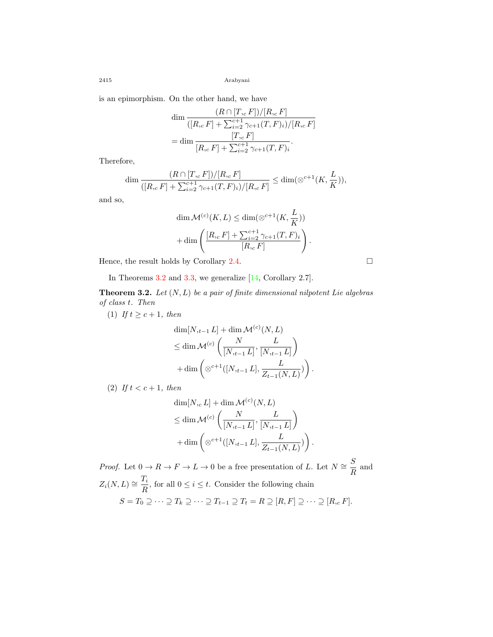2415 Arabyani

is an epimorphism. On the other hand, we have

$$
\dim \frac{(R \cap [T, c] | P])}{([R, c] | F] + \sum_{i=2}^{c+1} \gamma_{c+1}(T, F)_i) / [R, c] | F}
$$
  
= 
$$
\dim \frac{[T, c] | F]}{[R, c] | F] + \sum_{i=2}^{c+1} \gamma_{c+1}(T, F)_i}.
$$

Therefore,

$$
\dim \frac{(R \cap [T, _cF])/[R, _cF]}{([R, _cF] + \sum_{i=2}^{c+1} \gamma_{c+1}(T, F)_i)/[R, _cF]} \leq \dim(\otimes^{c+1}(K, \frac{L}{K})),
$$

and so,

$$
\dim \mathcal{M}^{(c)}(K, L) \le \dim (\otimes^{c+1}(K, \frac{L}{K}))
$$

$$
+ \dim \left( \frac{[R_{c} F] + \sum_{i=2}^{c+1} \gamma_{c+1}(T, F)_{i}}{[R_{c} F]} \right).
$$

Hence, the result holds by Corollary [2.4](#page-4-0).  $\Box$ 

In Theorems [3.2](#page-5-0) and [3.3,](#page-6-0) we generalize [\[14](#page-8-7), Corollary 2.7].

<span id="page-5-0"></span>**Theorem 3.2.** *Let* (*N, L*) *be a pair of finite dimensional nilpotent Lie algebras of class t. Then*

(1) *If*  $t \ge c + 1$ *, then* 

$$
\dim[N_{,t-1} L] + \dim \mathcal{M}^{(c)}(N, L)
$$
\n
$$
\leq \dim \mathcal{M}^{(c)}\left(\frac{N}{[N_{,t-1} L]}, \frac{L}{[N_{,t-1} L]}\right)
$$
\n
$$
+ \dim \left(\otimes^{c+1}([N_{,t-1} L], \frac{L}{Z_{t-1}(N, L)})\right).
$$

(2) *If*  $t < c + 1$ *, then* 

$$
\dim[N, c L] + \dim \mathcal{M}^{(c)}(N, L)
$$
  
\n
$$
\leq \dim \mathcal{M}^{(c)}\left(\frac{N}{[N, t-1 L]}, \frac{L}{[N, t-1 L]}\right)
$$
  
\n
$$
+ \dim \left(\otimes^{c+1}([N, t-1 L], \frac{L}{Z_{t-1}(N, L)})\right).
$$

*Proof.* Let  $0 \to R \to F \to L \to 0$  be a free presentation of *L*. Let  $N \cong \frac{S}{R}$  $\frac{B}{R}$  and  $Z_i(N, L) \cong \frac{T_i}{D}$  $\frac{2i}{R}$ , for all  $0 \leq i \leq t$ . Consider the following chain  $S = T_0 \supseteq \cdots \supseteq T_k \supseteq \cdots \supseteq T_{t-1} \supseteq T_t = R \supseteq [R, F] \supseteq \cdots \supseteq [R, c]$ .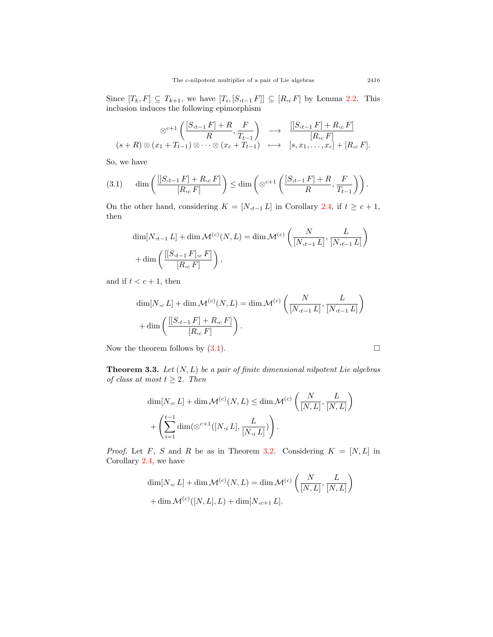Since  $[T_k, F] \subseteq T_{k+1}$ , we have  $[T_i, [S, t-1] \subseteq [R, i]$  by Lemma [2.2.](#page-3-1) This inclusion induces the following epimorphism

$$
\otimes^{c+1} \left( \frac{[S_{t-1} F] + R}{R}, \frac{F}{T_{t-1}} \right) \longrightarrow \frac{[[S_{t-1} F] + R_{t} F]}{[R_{t} F]} (s+R) \otimes (x_1 + T_{t-1}) \otimes \cdots \otimes (x_c + T_{t-1}) \longrightarrow [s, x_1, \ldots, x_c] + [R_{t} F].
$$

So, we have

<span id="page-6-1"></span>
$$
(3.1) \qquad \dim\left(\frac{[[S_{,t-1} F]+R_{,c} F]}{[R_{,c} F]}\right) \leq \dim\left(\otimes^{c+1}\left(\frac{[S_{,t-1} F]+R}{R}, \frac{F}{T_{t-1}}\right)\right).
$$

On the other hand, considering  $K = [N,_{t-1} L]$  in Corollary [2.4,](#page-4-0) if  $t \ge c + 1$ , then

$$
\dim[N_{,t-1} L] + \dim \mathcal{M}^{(c)}(N, L) = \dim \mathcal{M}^{(c)}\left(\frac{N}{[N_{,t-1} L]}, \frac{L}{[N_{,t-1} L]}\right) + \dim \left(\frac{[[S_{,t-1} F]_{,c} F]}{[R_{,c} F]}\right),
$$

and if  $t < c + 1$ , then

$$
\dim[N, c L] + \dim \mathcal{M}^{(c)}(N, L) = \dim \mathcal{M}^{(c)}\left(\frac{N}{[N, t-1 L]}, \frac{L}{[N, t-1 L]}\right)
$$

$$
+ \dim \left(\frac{[[S, t-1 F] + R, c F]}{[R, c F]}\right).
$$

Now the theorem follows by  $(3.1)$  $(3.1)$ .  $\Box$ 

<span id="page-6-0"></span>**Theorem 3.3.** *Let* (*N, L*) *be a pair of finite dimensional nilpotent Lie algebras of class at most*  $t \geq 2$ *. Then* 

$$
\dim[N, c L] + \dim \mathcal{M}^{(c)}(N, L) \le \dim \mathcal{M}^{(c)}\left(\frac{N}{[N, L]}, \frac{L}{[N, L]}\right)
$$

$$
+ \left(\sum_{i=1}^{t-1} \dim(\otimes^{c+1}([N, i L], \frac{L}{[N, i L]})\right).
$$

*Proof.* Let *F*, *S* and *R* be as in Theorem [3.2.](#page-5-0) Considering  $K = [N, L]$  in Corollary [2.4,](#page-4-0) we have

$$
\dim[N, c L] + \dim \mathcal{M}^{(c)}(N, L) = \dim \mathcal{M}^{(c)}\left(\frac{N}{[N, L]}, \frac{L}{[N, L]}\right)
$$

$$
+ \dim \mathcal{M}^{(c)}([N, L], L) + \dim[N, c+1 L].
$$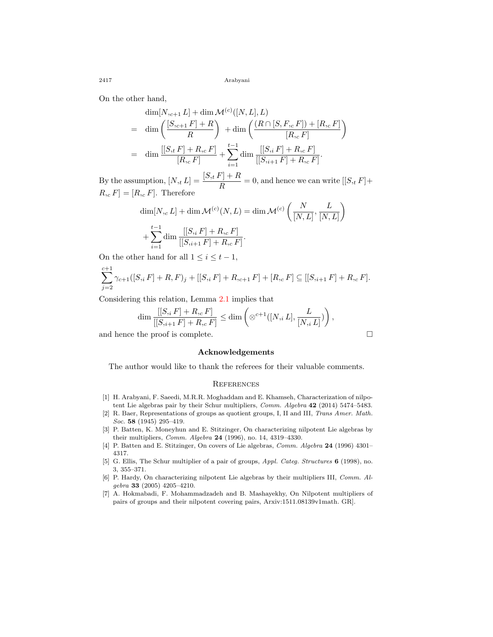2417 Arabyani

On the other hand,

$$
\dim[N,_{c+1} L] + \dim \mathcal{M}^{(c)}([N, L], L)
$$
\n
$$
= \dim \left( \frac{[S,_{c+1} F] + R}{R} \right) + \dim \left( \frac{(R \cap [S, F,_{c} F]) + [R,_{c} F]}{[R,_{c} F]} \right)
$$
\n
$$
= \dim \frac{[[S,_{t} F] + R,_{c} F]}{[R,_{c} F]} + \sum_{i=1}^{t-1} \dim \frac{[[S,_{i} F] + R,_{c} F]}{[[S,_{i+1} F] + R,_{c} F]}.
$$

By the assumption,  $[N, t] = \frac{[S, t] + R}{R} = 0$ , and hence we can write  $[[S, t] + R$  $R, c F = [R, c F]$ . Therefore

$$
\dim[N, c] + \dim \mathcal{M}^{(c)}(N, L) = \dim \mathcal{M}^{(c)}\left(\frac{N}{[N, L]}, \frac{L}{[N, L]}\right) + \sum_{i=1}^{t-1} \dim \frac{[[S, i] + R, c] + \prod_{i=1}^{t-1} \dim \frac{[[S, i+1] + R, c]}{[[S, i+1] + R, c] + \prod_{i=1}^{t-1} \dim \frac{[[S, i+1] + R, c]}{[[S, i+1] + R, c] + \prod_{i=1}^{t-1} \dim \frac{[[S, i+1] + R, c]}{[[S, i+1] + R, c] + \prod_{i=1}^{t-1} \dim \frac{[[S, i+1] + R, c]}{[[S, i+1] + R, c] + \prod_{i=1}^{t-1} \dim \frac{[[S, i+1] + R, c]}{[[S, i+1] + R, c] + \prod_{i=1}^{t-1} \dim \frac{[[S, i+1] + R, c]}{[[S, i+1] + R, c] + \prod_{i=1}^{t-1} \dim \frac{[[S, i+1] + R, c]}{[[S, i+1] + R, c] + \prod_{i=1}^{t-1} \dim \frac{[[S, i+1] + R, c]}{[[S, i+1] + R, c] + \prod_{i=1}^{t-1} \dim \frac{[[S, i+1] + R, c]}{[[S, i+1] + R, c] + \prod_{i=1}^{t-1} \dim \frac{[[S, i+1] + R, c]}{[[S, i+1] + R, c] + \prod_{i=1}^{t-1} \dim \frac{[[S, i+1] + R, c]}{[[S, i+1] + R, c] + \prod_{i=1}^{t-1} \dim \frac{[[S, i+1] + R, c]}{[[S, i+1] + R, c] + \prod_{i=1}^{t-1} \dim \frac{[[S, i+1] + R, c]}{[[S, i+1] + R, c] + \prod_{i=1}^{t-1} \dim \frac{[[S, i+1] + R, c]}{[[S, i+1] + R, c] + \prod_{i=1}^{t-1} \dim \frac{[[S, i+1] + R, c]}{[[S, i+1] + R, c] + \prod_{i=1}^{t-1} \dim \frac{[[S, i+1]
$$

On the other hand for all  $1 \leq i \leq t-1$ ,

$$
\sum_{j=2}^{c+1} \gamma_{c+1}([S_i F] + R, F)_j + [[S_i F] + R,_{c+1} F] + [R,_{c} F] \subseteq [[S,_{i+1} F] + R,_{c} F].
$$

Considering this relation, Lemma [2.1](#page-2-0) implies that

$$
\dim \frac{[[S_{,i} F] + R_{,c} F]}{[[S_{,i+1} F] + R_{,c} F]} \leq \dim \left( \otimes^{c+1} ([N_{,i} L], \frac{L}{[N_{,i} L]}) \right),
$$

and hence the proof is complete.  $\Box$ 

#### **Acknowledgements**

The author would like to thank the referees for their valuable comments.

### **REFERENCES**

- <span id="page-7-6"></span>[1] H. Arabyani, F. Saeedi, M.R.R. Moghaddam and E. Khamseh, Characterization of nilpotent Lie algebras pair by their Schur multipliers, *Comm. Algebra* **42** (2014) 5474–5483.
- <span id="page-7-4"></span>[2] R. Baer, Representations of groups as quotient groups, I, II and III, *Trans Amer. Math. Soc.* **58** (1945) 295–419.
- <span id="page-7-1"></span>[3] P. Batten, K. Moneyhun and E. Stitzinger, On characterizing nilpotent Lie algebras by their multipliers, *Comm. Algebra* **24** (1996), no. 14, 4319–4330.
- <span id="page-7-2"></span>[4] P. Batten and E. Stitzinger, On covers of Lie algebras, *Comm. Algebra* **24** (1996) 4301– 4317.
- <span id="page-7-5"></span>[5] G. Ellis, The Schur multiplier of a pair of groups, *Appl. Categ. Structures* **6** (1998), no. 3, 355–371.
- <span id="page-7-3"></span>[6] P. Hardy, On characterizing nilpotent Lie algebras by their multipliers III, *Comm. Algebra* **33** (2005) 4205–4210.
- <span id="page-7-0"></span>[7] A. Hokmabadi, F. Mohammadzadeh and B. Mashayekhy, On Nilpotent multipliers of pairs of groups and their nilpotent covering pairs, Arxiv:1511.08139v1math. GR].